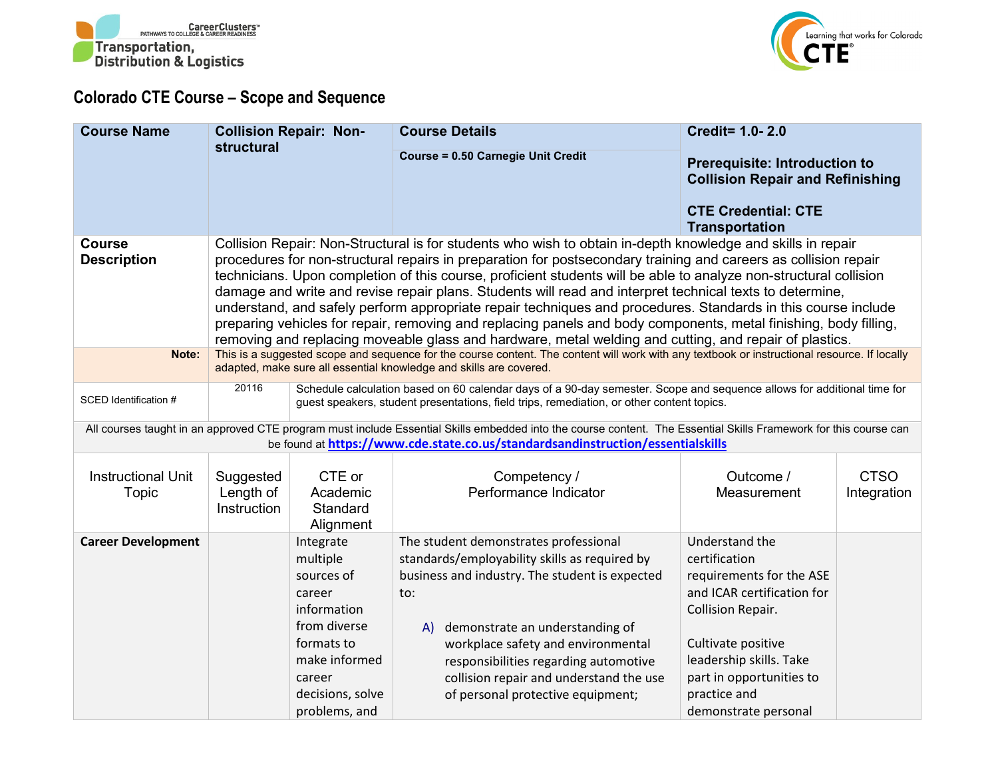



## **Colorado CTE Course – Scope and Sequence**

| <b>Course Name</b>                  | <b>Collision Repair: Non-</b>                                                                                                                                                                                                                                                                                                                                                                                                                                                                                                                                                                                                                                                                                                                                                                                  |                                                                                                                                                                                                                    | <b>Course Details</b>                                                                                                                                                                                                                               | <b>Credit= 1.0-2.0</b>                                                                                                                 |                            |  |  |  |  |
|-------------------------------------|----------------------------------------------------------------------------------------------------------------------------------------------------------------------------------------------------------------------------------------------------------------------------------------------------------------------------------------------------------------------------------------------------------------------------------------------------------------------------------------------------------------------------------------------------------------------------------------------------------------------------------------------------------------------------------------------------------------------------------------------------------------------------------------------------------------|--------------------------------------------------------------------------------------------------------------------------------------------------------------------------------------------------------------------|-----------------------------------------------------------------------------------------------------------------------------------------------------------------------------------------------------------------------------------------------------|----------------------------------------------------------------------------------------------------------------------------------------|----------------------------|--|--|--|--|
|                                     | <b>structural</b>                                                                                                                                                                                                                                                                                                                                                                                                                                                                                                                                                                                                                                                                                                                                                                                              |                                                                                                                                                                                                                    | <b>Course = 0.50 Carnegie Unit Credit</b>                                                                                                                                                                                                           | <b>Prerequisite: Introduction to</b><br><b>Collision Repair and Refinishing</b><br><b>CTE Credential: CTE</b><br><b>Transportation</b> |                            |  |  |  |  |
| <b>Course</b><br><b>Description</b> | Collision Repair: Non-Structural is for students who wish to obtain in-depth knowledge and skills in repair<br>procedures for non-structural repairs in preparation for postsecondary training and careers as collision repair<br>technicians. Upon completion of this course, proficient students will be able to analyze non-structural collision<br>damage and write and revise repair plans. Students will read and interpret technical texts to determine,<br>understand, and safely perform appropriate repair techniques and procedures. Standards in this course include<br>preparing vehicles for repair, removing and replacing panels and body components, metal finishing, body filling,<br>removing and replacing moveable glass and hardware, metal welding and cutting, and repair of plastics. |                                                                                                                                                                                                                    |                                                                                                                                                                                                                                                     |                                                                                                                                        |                            |  |  |  |  |
| Note:                               |                                                                                                                                                                                                                                                                                                                                                                                                                                                                                                                                                                                                                                                                                                                                                                                                                | This is a suggested scope and sequence for the course content. The content will work with any textbook or instructional resource. If locally<br>adapted, make sure all essential knowledge and skills are covered. |                                                                                                                                                                                                                                                     |                                                                                                                                        |                            |  |  |  |  |
| SCED Identification #               | 20116<br>Schedule calculation based on 60 calendar days of a 90-day semester. Scope and sequence allows for additional time for<br>guest speakers, student presentations, field trips, remediation, or other content topics.                                                                                                                                                                                                                                                                                                                                                                                                                                                                                                                                                                                   |                                                                                                                                                                                                                    |                                                                                                                                                                                                                                                     |                                                                                                                                        |                            |  |  |  |  |
|                                     |                                                                                                                                                                                                                                                                                                                                                                                                                                                                                                                                                                                                                                                                                                                                                                                                                |                                                                                                                                                                                                                    | All courses taught in an approved CTE program must include Essential Skills embedded into the course content. The Essential Skills Framework for this course can<br>be found at https://www.cde.state.co.us/standardsandinstruction/essentialskills |                                                                                                                                        |                            |  |  |  |  |
| <b>Instructional Unit</b><br>Topic  | Suggested<br>Length of<br>Instruction                                                                                                                                                                                                                                                                                                                                                                                                                                                                                                                                                                                                                                                                                                                                                                          | CTE or<br>Academic<br>Standard<br>Alignment                                                                                                                                                                        | Competency /<br>Performance Indicator                                                                                                                                                                                                               | Outcome /<br>Measurement                                                                                                               | <b>CTSO</b><br>Integration |  |  |  |  |
| <b>Career Development</b>           |                                                                                                                                                                                                                                                                                                                                                                                                                                                                                                                                                                                                                                                                                                                                                                                                                | Integrate                                                                                                                                                                                                          | The student demonstrates professional                                                                                                                                                                                                               | Understand the                                                                                                                         |                            |  |  |  |  |
|                                     |                                                                                                                                                                                                                                                                                                                                                                                                                                                                                                                                                                                                                                                                                                                                                                                                                | multiple<br>sources of                                                                                                                                                                                             | standards/employability skills as required by                                                                                                                                                                                                       | certification                                                                                                                          |                            |  |  |  |  |
|                                     |                                                                                                                                                                                                                                                                                                                                                                                                                                                                                                                                                                                                                                                                                                                                                                                                                | career                                                                                                                                                                                                             | business and industry. The student is expected<br>$\mathsf{to}$ :                                                                                                                                                                                   | requirements for the ASE<br>and ICAR certification for                                                                                 |                            |  |  |  |  |
|                                     |                                                                                                                                                                                                                                                                                                                                                                                                                                                                                                                                                                                                                                                                                                                                                                                                                | information                                                                                                                                                                                                        |                                                                                                                                                                                                                                                     | <b>Collision Repair.</b>                                                                                                               |                            |  |  |  |  |
|                                     |                                                                                                                                                                                                                                                                                                                                                                                                                                                                                                                                                                                                                                                                                                                                                                                                                | from diverse                                                                                                                                                                                                       | demonstrate an understanding of<br>A)                                                                                                                                                                                                               |                                                                                                                                        |                            |  |  |  |  |
|                                     |                                                                                                                                                                                                                                                                                                                                                                                                                                                                                                                                                                                                                                                                                                                                                                                                                | formats to<br>make informed                                                                                                                                                                                        | workplace safety and environmental                                                                                                                                                                                                                  | Cultivate positive<br>leadership skills. Take                                                                                          |                            |  |  |  |  |
|                                     |                                                                                                                                                                                                                                                                                                                                                                                                                                                                                                                                                                                                                                                                                                                                                                                                                | career                                                                                                                                                                                                             | responsibilities regarding automotive<br>collision repair and understand the use                                                                                                                                                                    | part in opportunities to                                                                                                               |                            |  |  |  |  |
|                                     |                                                                                                                                                                                                                                                                                                                                                                                                                                                                                                                                                                                                                                                                                                                                                                                                                | decisions, solve                                                                                                                                                                                                   | of personal protective equipment;                                                                                                                                                                                                                   | practice and                                                                                                                           |                            |  |  |  |  |
|                                     |                                                                                                                                                                                                                                                                                                                                                                                                                                                                                                                                                                                                                                                                                                                                                                                                                | problems, and                                                                                                                                                                                                      |                                                                                                                                                                                                                                                     | demonstrate personal                                                                                                                   |                            |  |  |  |  |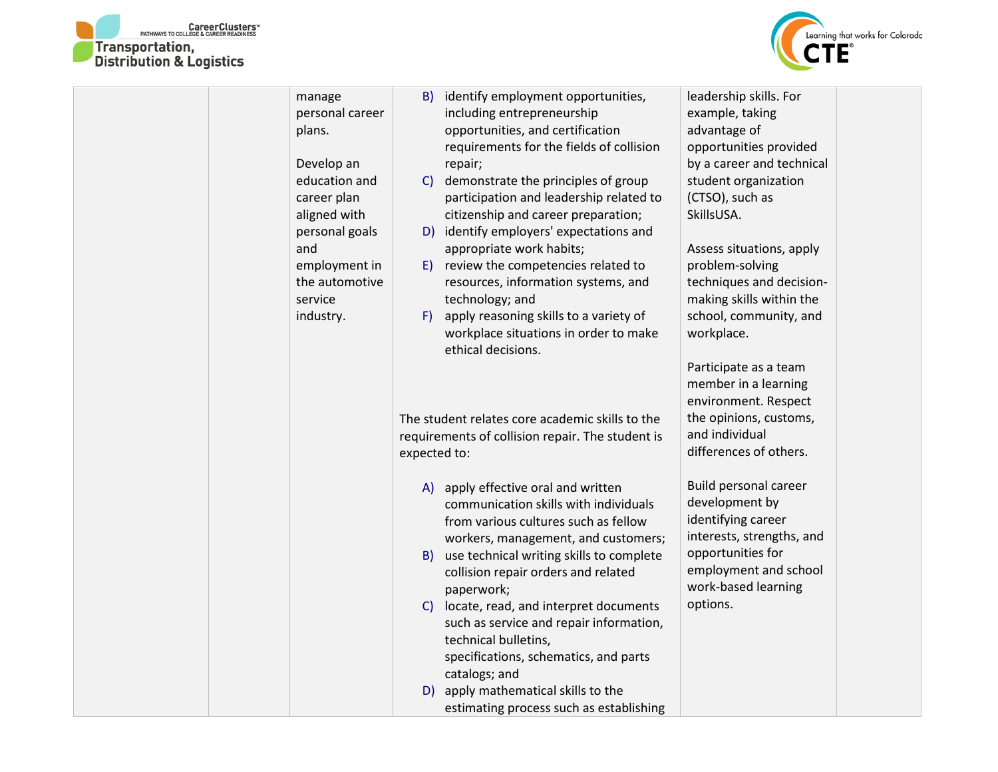



| manage          | B) identify employment opportunities,                       | leadership skills. For    |
|-----------------|-------------------------------------------------------------|---------------------------|
| personal career | including entrepreneurship                                  | example, taking           |
| plans.          | opportunities, and certification                            | advantage of              |
|                 | requirements for the fields of collision                    | opportunities provided    |
| Develop an      | repair;                                                     | by a career and technical |
| education and   | demonstrate the principles of group<br>$\mathsf{C}$         | student organization      |
| career plan     | participation and leadership related to                     | (CTSO), such as           |
| aligned with    | citizenship and career preparation;                         | SkillsUSA.                |
| personal goals  | D) identify employers' expectations and                     |                           |
| and             | appropriate work habits;                                    | Assess situations, apply  |
| employment in   | review the competencies related to<br>E)                    | problem-solving           |
| the automotive  | resources, information systems, and                         | techniques and decision-  |
| service         | technology; and                                             | making skills within the  |
| industry.       | apply reasoning skills to a variety of<br>F)                | school, community, and    |
|                 | workplace situations in order to make<br>ethical decisions. | workplace.                |
|                 |                                                             | Participate as a team     |
|                 |                                                             | member in a learning      |
|                 |                                                             | environment. Respect      |
|                 | The student relates core academic skills to the             | the opinions, customs,    |
|                 | requirements of collision repair. The student is            | and individual            |
|                 | expected to:                                                | differences of others.    |
|                 |                                                             |                           |
|                 | A) apply effective oral and written                         | Build personal career     |
|                 | communication skills with individuals                       | development by            |
|                 | from various cultures such as fellow                        | identifying career        |
|                 | workers, management, and customers;                         | interests, strengths, and |
|                 | use technical writing skills to complete<br>B)              | opportunities for         |
|                 | collision repair orders and related                         | employment and school     |
|                 | paperwork;                                                  | work-based learning       |
|                 | C) locate, read, and interpret documents                    | options.                  |
|                 | such as service and repair information,                     |                           |
|                 | technical bulletins,                                        |                           |
|                 | specifications, schematics, and parts                       |                           |
|                 | catalogs; and                                               |                           |
|                 | D) apply mathematical skills to the                         |                           |
|                 | estimating process such as establishing                     |                           |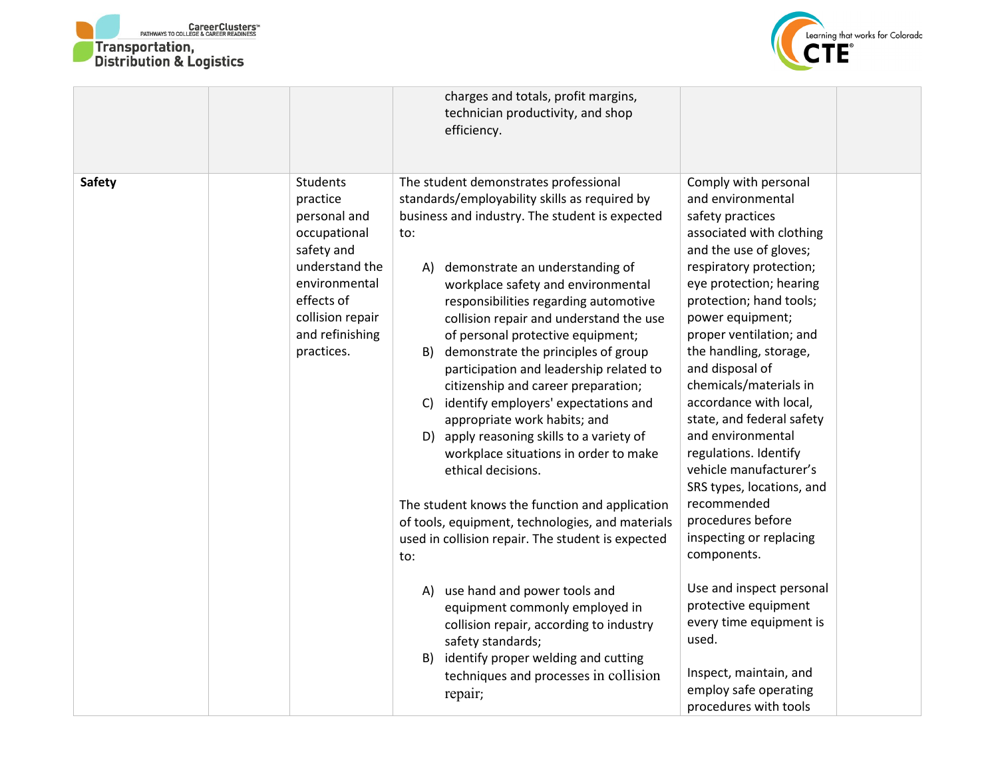



|               |                                                                                                                                                                          | charges and totals, profit margins,<br>technician productivity, and shop<br>efficiency.                                                                                                                                                                                                                                                                                                                                                                                                                                                                                                                                                                                                                                                                                                                                                                      |                                                                                                                                                                                                                                                                                                                                                                                                                                                                                                                                                                      |
|---------------|--------------------------------------------------------------------------------------------------------------------------------------------------------------------------|--------------------------------------------------------------------------------------------------------------------------------------------------------------------------------------------------------------------------------------------------------------------------------------------------------------------------------------------------------------------------------------------------------------------------------------------------------------------------------------------------------------------------------------------------------------------------------------------------------------------------------------------------------------------------------------------------------------------------------------------------------------------------------------------------------------------------------------------------------------|----------------------------------------------------------------------------------------------------------------------------------------------------------------------------------------------------------------------------------------------------------------------------------------------------------------------------------------------------------------------------------------------------------------------------------------------------------------------------------------------------------------------------------------------------------------------|
| <b>Safety</b> | Students<br>practice<br>personal and<br>occupational<br>safety and<br>understand the<br>environmental<br>effects of<br>collision repair<br>and refinishing<br>practices. | The student demonstrates professional<br>standards/employability skills as required by<br>business and industry. The student is expected<br>to:<br>demonstrate an understanding of<br>A)<br>workplace safety and environmental<br>responsibilities regarding automotive<br>collision repair and understand the use<br>of personal protective equipment;<br>demonstrate the principles of group<br>B)<br>participation and leadership related to<br>citizenship and career preparation;<br>identify employers' expectations and<br>$\mathsf{C}$<br>appropriate work habits; and<br>D) apply reasoning skills to a variety of<br>workplace situations in order to make<br>ethical decisions.<br>The student knows the function and application<br>of tools, equipment, technologies, and materials<br>used in collision repair. The student is expected<br>to: | Comply with personal<br>and environmental<br>safety practices<br>associated with clothing<br>and the use of gloves;<br>respiratory protection;<br>eye protection; hearing<br>protection; hand tools;<br>power equipment;<br>proper ventilation; and<br>the handling, storage,<br>and disposal of<br>chemicals/materials in<br>accordance with local,<br>state, and federal safety<br>and environmental<br>regulations. Identify<br>vehicle manufacturer's<br>SRS types, locations, and<br>recommended<br>procedures before<br>inspecting or replacing<br>components. |
|               |                                                                                                                                                                          | A) use hand and power tools and<br>equipment commonly employed in<br>collision repair, according to industry<br>safety standards;<br>identify proper welding and cutting<br>B)<br>techniques and processes in collision<br>repair;                                                                                                                                                                                                                                                                                                                                                                                                                                                                                                                                                                                                                           | Use and inspect personal<br>protective equipment<br>every time equipment is<br>used.<br>Inspect, maintain, and<br>employ safe operating<br>procedures with tools                                                                                                                                                                                                                                                                                                                                                                                                     |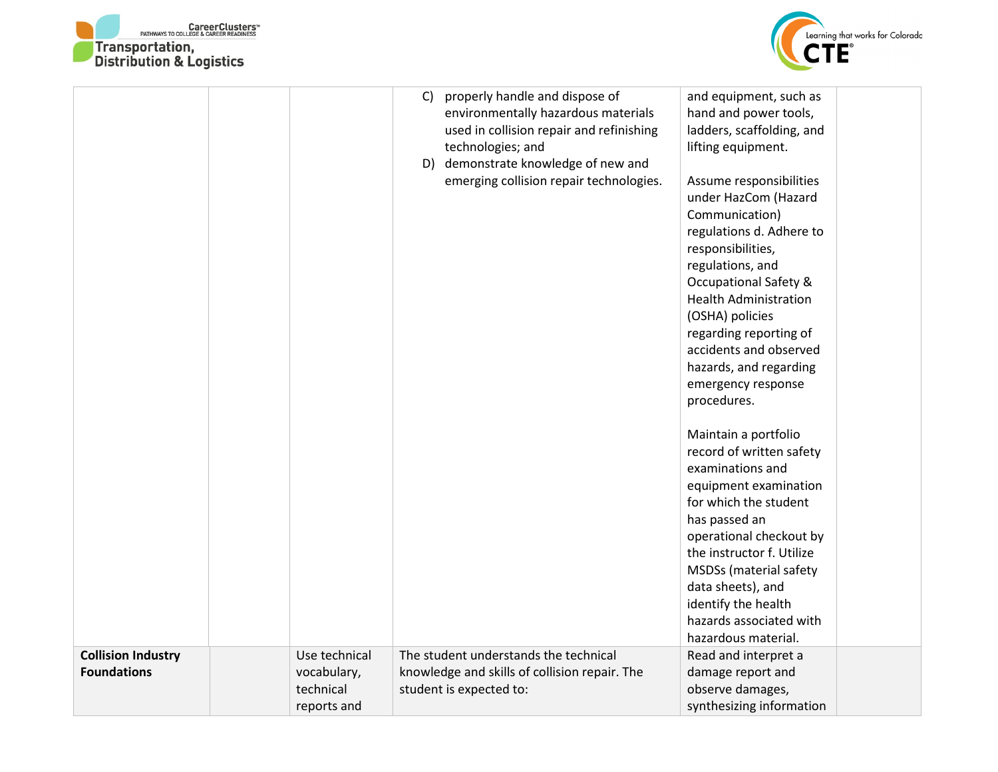



|                                                 |                                                          | C)<br>D) | properly handle and dispose of<br>environmentally hazardous materials<br>used in collision repair and refinishing<br>technologies; and<br>demonstrate knowledge of new and<br>emerging collision repair technologies. | and equipment, such as<br>hand and power tools,<br>ladders, scaffolding, and<br>lifting equipment.<br>Assume responsibilities<br>under HazCom (Hazard<br>Communication)<br>regulations d. Adhere to<br>responsibilities,<br>regulations, and<br><b>Occupational Safety &amp;</b><br><b>Health Administration</b><br>(OSHA) policies<br>regarding reporting of<br>accidents and observed<br>hazards, and regarding<br>emergency response<br>procedures.<br>Maintain a portfolio<br>record of written safety<br>examinations and<br>equipment examination<br>for which the student |  |
|-------------------------------------------------|----------------------------------------------------------|----------|-----------------------------------------------------------------------------------------------------------------------------------------------------------------------------------------------------------------------|----------------------------------------------------------------------------------------------------------------------------------------------------------------------------------------------------------------------------------------------------------------------------------------------------------------------------------------------------------------------------------------------------------------------------------------------------------------------------------------------------------------------------------------------------------------------------------|--|
|                                                 |                                                          |          |                                                                                                                                                                                                                       | has passed an<br>operational checkout by<br>the instructor f. Utilize<br><b>MSDSs</b> (material safety<br>data sheets), and<br>identify the health<br>hazards associated with<br>hazardous material.                                                                                                                                                                                                                                                                                                                                                                             |  |
| <b>Collision Industry</b><br><b>Foundations</b> | Use technical<br>vocabulary,<br>technical<br>reports and |          | The student understands the technical<br>knowledge and skills of collision repair. The<br>student is expected to:                                                                                                     | Read and interpret a<br>damage report and<br>observe damages,<br>synthesizing information                                                                                                                                                                                                                                                                                                                                                                                                                                                                                        |  |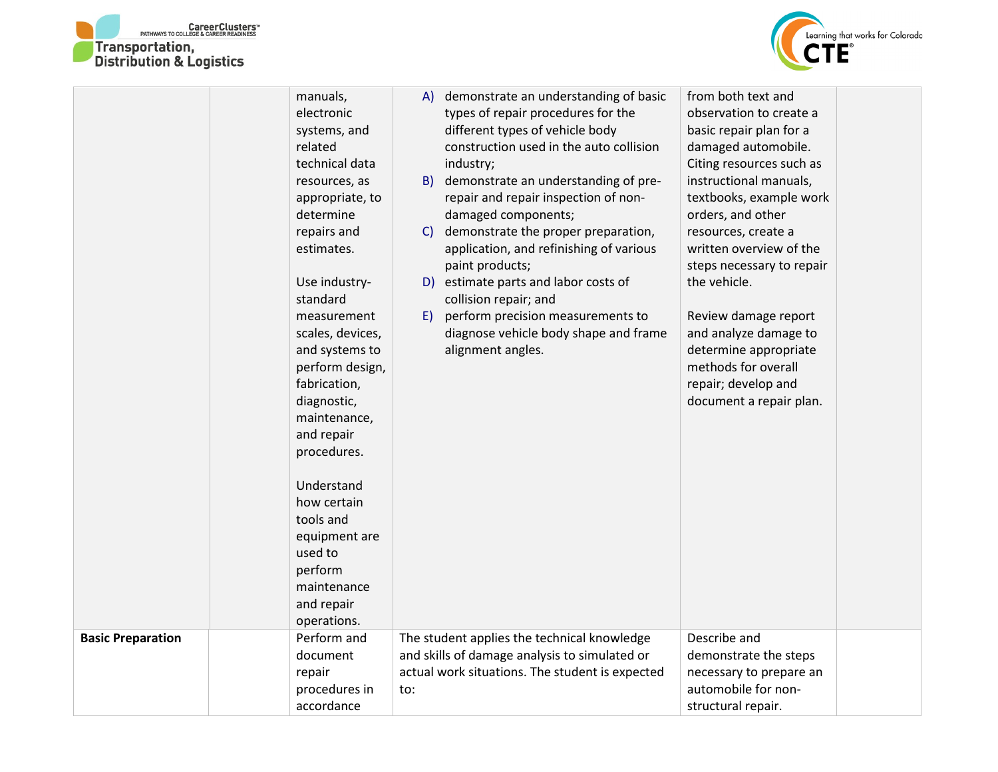



|                          | manuals,         | demonstrate an understanding of basic<br>A)         | from both text and        |
|--------------------------|------------------|-----------------------------------------------------|---------------------------|
|                          | electronic       | types of repair procedures for the                  | observation to create a   |
|                          | systems, and     | different types of vehicle body                     | basic repair plan for a   |
|                          | related          | construction used in the auto collision             | damaged automobile.       |
|                          | technical data   | industry;                                           | Citing resources such as  |
|                          | resources, as    | demonstrate an understanding of pre-<br>B)          | instructional manuals,    |
|                          | appropriate, to  | repair and repair inspection of non-                | textbooks, example work   |
|                          | determine        | damaged components;                                 | orders, and other         |
|                          | repairs and      | demonstrate the proper preparation,<br>$\mathsf{C}$ | resources, create a       |
|                          | estimates.       | application, and refinishing of various             | written overview of the   |
|                          |                  | paint products;                                     | steps necessary to repair |
|                          | Use industry-    | estimate parts and labor costs of<br>D)             | the vehicle.              |
|                          | standard         | collision repair; and                               |                           |
|                          | measurement      | perform precision measurements to<br>E)             | Review damage report      |
|                          | scales, devices, | diagnose vehicle body shape and frame               | and analyze damage to     |
|                          | and systems to   | alignment angles.                                   | determine appropriate     |
|                          | perform design,  |                                                     | methods for overall       |
|                          | fabrication,     |                                                     | repair; develop and       |
|                          | diagnostic,      |                                                     | document a repair plan.   |
|                          | maintenance,     |                                                     |                           |
|                          | and repair       |                                                     |                           |
|                          | procedures.      |                                                     |                           |
|                          | Understand       |                                                     |                           |
|                          | how certain      |                                                     |                           |
|                          | tools and        |                                                     |                           |
|                          | equipment are    |                                                     |                           |
|                          | used to          |                                                     |                           |
|                          | perform          |                                                     |                           |
|                          | maintenance      |                                                     |                           |
|                          | and repair       |                                                     |                           |
|                          | operations.      |                                                     |                           |
| <b>Basic Preparation</b> | Perform and      | The student applies the technical knowledge         | Describe and              |
|                          | document         | and skills of damage analysis to simulated or       | demonstrate the steps     |
|                          | repair           | actual work situations. The student is expected     | necessary to prepare an   |
|                          | procedures in    | to:                                                 | automobile for non-       |
|                          | accordance       |                                                     | structural repair.        |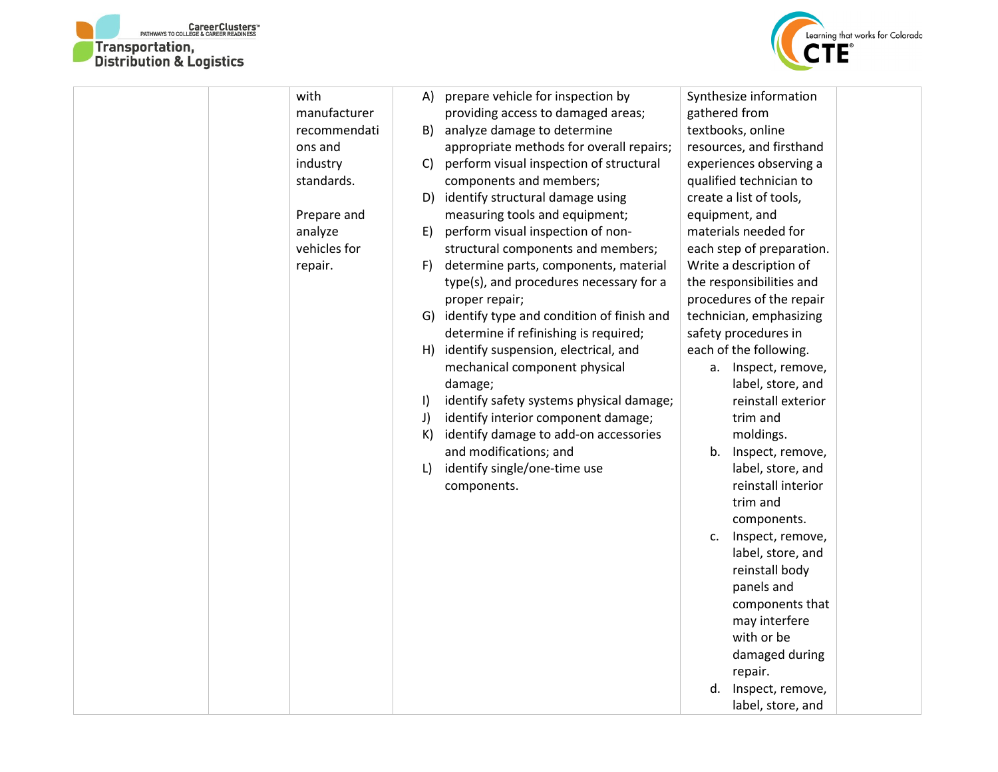



| with         |         | A) prepare vehicle for inspection by         |               | Synthesize information    |  |
|--------------|---------|----------------------------------------------|---------------|---------------------------|--|
| manufacturer |         | providing access to damaged areas;           | gathered from |                           |  |
| recommendati | B)      | analyze damage to determine                  |               | textbooks, online         |  |
| ons and      |         | appropriate methods for overall repairs;     |               | resources, and firsthand  |  |
| industry     | C)      | perform visual inspection of structural      |               | experiences observing a   |  |
| standards.   |         | components and members;                      |               | qualified technician to   |  |
|              | D)      | identify structural damage using             |               | create a list of tools,   |  |
| Prepare and  |         | measuring tools and equipment;               |               | equipment, and            |  |
| analyze      | E)      | perform visual inspection of non-            |               | materials needed for      |  |
| vehicles for |         | structural components and members;           |               | each step of preparation. |  |
| repair.      | F)      | determine parts, components, material        |               | Write a description of    |  |
|              |         | type(s), and procedures necessary for a      |               | the responsibilities and  |  |
|              |         | proper repair;                               |               | procedures of the repair  |  |
|              |         | G) identify type and condition of finish and |               | technician, emphasizing   |  |
|              |         | determine if refinishing is required;        |               | safety procedures in      |  |
|              |         | H) identify suspension, electrical, and      |               | each of the following.    |  |
|              |         | mechanical component physical                |               | a. Inspect, remove,       |  |
|              |         | damage;                                      |               | label, store, and         |  |
|              | $\vert$ | identify safety systems physical damage;     |               | reinstall exterior        |  |
|              | J)      | identify interior component damage;          |               | trim and                  |  |
|              | K)      | identify damage to add-on accessories        |               | moldings.                 |  |
|              |         | and modifications; and                       | b.            | Inspect, remove,          |  |
|              | L)      | identify single/one-time use                 |               | label, store, and         |  |
|              |         | components.                                  |               | reinstall interior        |  |
|              |         |                                              |               | trim and                  |  |
|              |         |                                              |               | components.               |  |
|              |         |                                              | c.            | Inspect, remove,          |  |
|              |         |                                              |               | label, store, and         |  |
|              |         |                                              |               | reinstall body            |  |
|              |         |                                              |               | panels and                |  |
|              |         |                                              |               | components that           |  |
|              |         |                                              |               | may interfere             |  |
|              |         |                                              |               | with or be                |  |
|              |         |                                              |               | damaged during            |  |
|              |         |                                              |               | repair.                   |  |
|              |         |                                              | d.            | Inspect, remove,          |  |
|              |         |                                              |               | label, store, and         |  |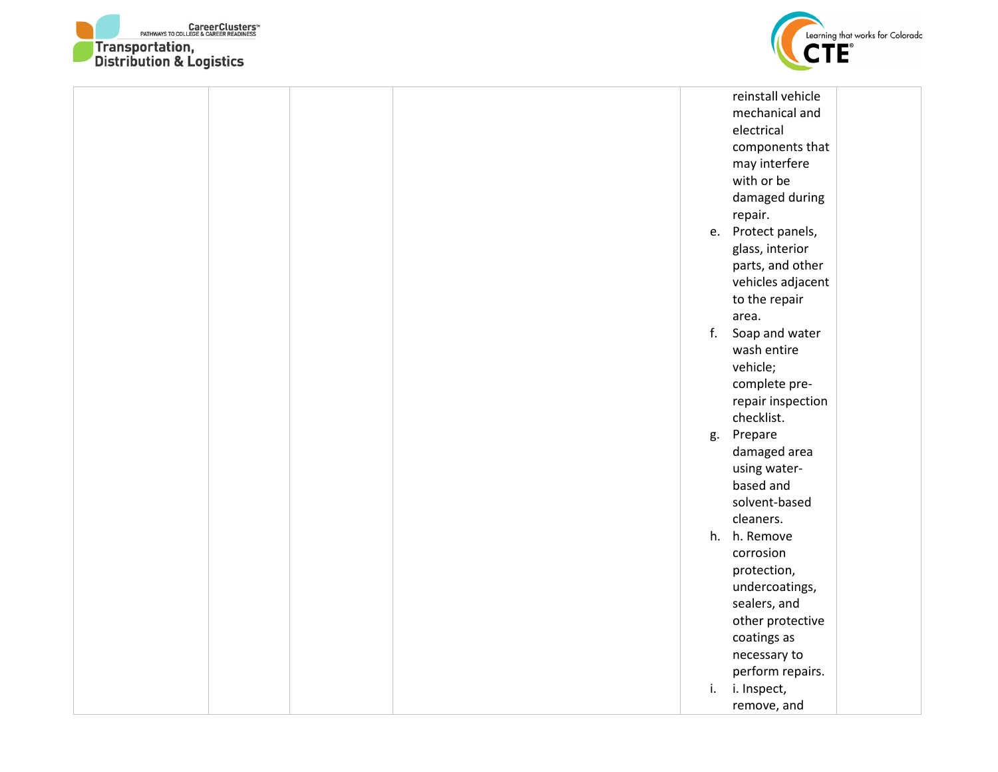



|  |  |    | reinstall vehicle  |  |
|--|--|----|--------------------|--|
|  |  |    | mechanical and     |  |
|  |  |    | electrical         |  |
|  |  |    | components that    |  |
|  |  |    | may interfere      |  |
|  |  |    | with or be         |  |
|  |  |    | damaged during     |  |
|  |  |    | repair.            |  |
|  |  |    | e. Protect panels, |  |
|  |  |    | glass, interior    |  |
|  |  |    | parts, and other   |  |
|  |  |    | vehicles adjacent  |  |
|  |  |    | to the repair      |  |
|  |  |    | area.              |  |
|  |  |    | f. Soap and water  |  |
|  |  |    | wash entire        |  |
|  |  |    | vehicle;           |  |
|  |  |    | complete pre-      |  |
|  |  |    | repair inspection  |  |
|  |  |    | checklist.         |  |
|  |  | g. | Prepare            |  |
|  |  |    | damaged area       |  |
|  |  |    | using water-       |  |
|  |  |    | based and          |  |
|  |  |    | solvent-based      |  |
|  |  |    | cleaners.          |  |
|  |  |    | h. h. Remove       |  |
|  |  |    | corrosion          |  |
|  |  |    | protection,        |  |
|  |  |    | undercoatings,     |  |
|  |  |    | sealers, and       |  |
|  |  |    | other protective   |  |
|  |  |    | coatings as        |  |
|  |  |    | necessary to       |  |
|  |  |    | perform repairs.   |  |
|  |  | i. | i. Inspect,        |  |
|  |  |    | remove, and        |  |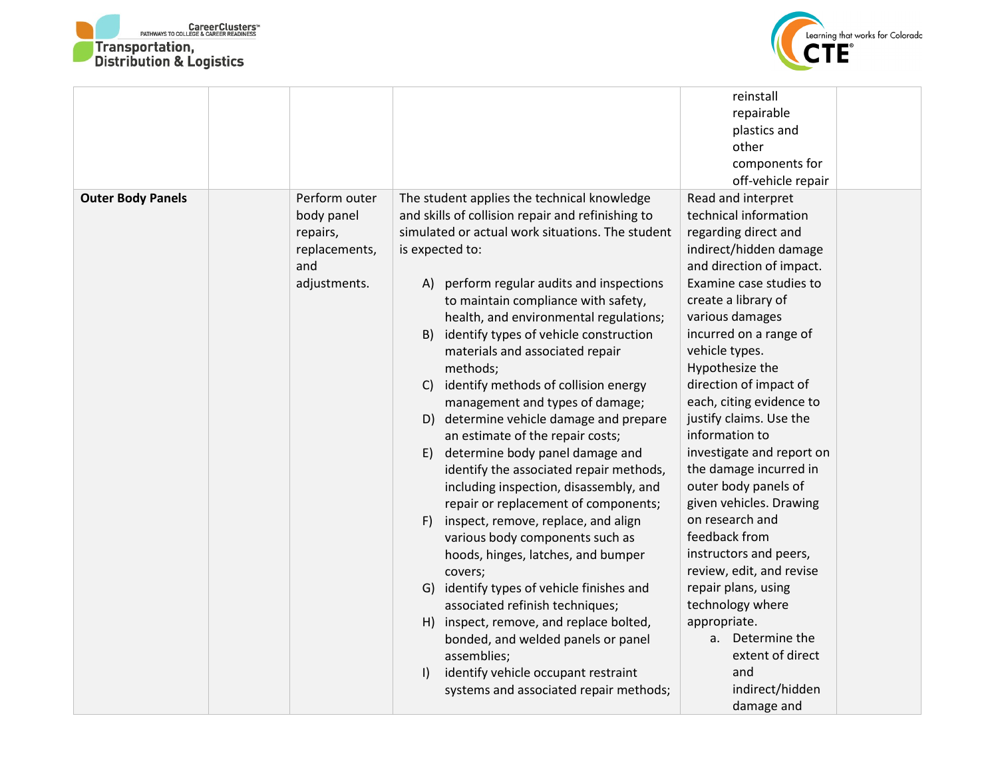



|                          |               |                                                   | reinstall                 |
|--------------------------|---------------|---------------------------------------------------|---------------------------|
|                          |               |                                                   | repairable                |
|                          |               |                                                   | plastics and              |
|                          |               |                                                   | other                     |
|                          |               |                                                   | components for            |
|                          |               |                                                   | off-vehicle repair        |
| <b>Outer Body Panels</b> | Perform outer | The student applies the technical knowledge       | Read and interpret        |
|                          | body panel    | and skills of collision repair and refinishing to | technical information     |
|                          | repairs,      | simulated or actual work situations. The student  | regarding direct and      |
|                          | replacements, | is expected to:                                   | indirect/hidden damage    |
|                          | and           |                                                   | and direction of impact.  |
|                          | adjustments.  | perform regular audits and inspections<br>A)      | Examine case studies to   |
|                          |               | to maintain compliance with safety,               | create a library of       |
|                          |               | health, and environmental regulations;            | various damages           |
|                          |               | identify types of vehicle construction<br>B)      | incurred on a range of    |
|                          |               | materials and associated repair                   | vehicle types.            |
|                          |               | methods;                                          | Hypothesize the           |
|                          |               | identify methods of collision energy<br>C)        | direction of impact of    |
|                          |               | management and types of damage;                   | each, citing evidence to  |
|                          |               | D) determine vehicle damage and prepare           | justify claims. Use the   |
|                          |               | an estimate of the repair costs;                  | information to            |
|                          |               | determine body panel damage and<br>E)             | investigate and report on |
|                          |               | identify the associated repair methods,           | the damage incurred in    |
|                          |               | including inspection, disassembly, and            | outer body panels of      |
|                          |               | repair or replacement of components;              | given vehicles. Drawing   |
|                          |               | inspect, remove, replace, and align<br>F)         | on research and           |
|                          |               | various body components such as                   | feedback from             |
|                          |               | hoods, hinges, latches, and bumper                | instructors and peers,    |
|                          |               | covers;                                           | review, edit, and revise  |
|                          |               | G) identify types of vehicle finishes and         | repair plans, using       |
|                          |               | associated refinish techniques;                   | technology where          |
|                          |               | H) inspect, remove, and replace bolted,           | appropriate.              |
|                          |               | bonded, and welded panels or panel                | a. Determine the          |
|                          |               | assemblies;                                       | extent of direct          |
|                          |               | identify vehicle occupant restraint<br>$\vert$    | and                       |
|                          |               | systems and associated repair methods;            | indirect/hidden           |
|                          |               |                                                   | damage and                |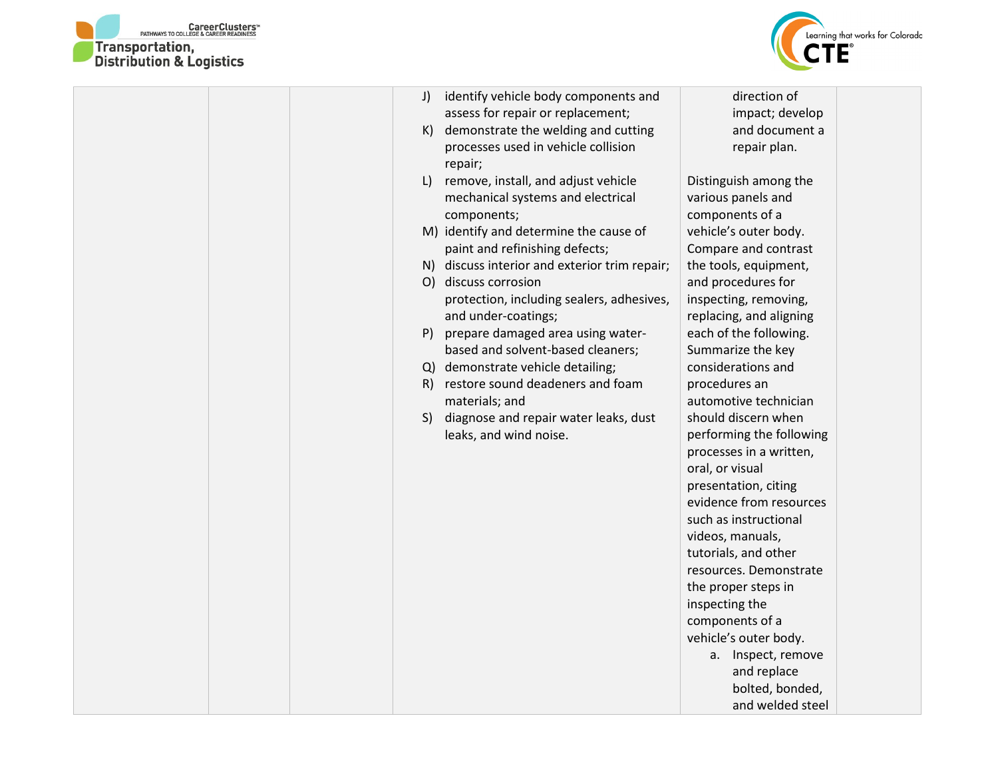



|  | J) | identify vehicle body components and          | direction of             |
|--|----|-----------------------------------------------|--------------------------|
|  |    | assess for repair or replacement;             | impact; develop          |
|  | K) | demonstrate the welding and cutting           | and document a           |
|  |    | processes used in vehicle collision           | repair plan.             |
|  |    | repair;                                       |                          |
|  | L  | remove, install, and adjust vehicle           | Distinguish among the    |
|  |    | mechanical systems and electrical             | various panels and       |
|  |    | components;                                   | components of a          |
|  |    | M) identify and determine the cause of        | vehicle's outer body.    |
|  |    | paint and refinishing defects;                | Compare and contrast     |
|  |    | N) discuss interior and exterior trim repair; | the tools, equipment,    |
|  |    | O) discuss corrosion                          | and procedures for       |
|  |    | protection, including sealers, adhesives,     | inspecting, removing,    |
|  |    | and under-coatings;                           | replacing, and aligning  |
|  | P) | prepare damaged area using water-             | each of the following.   |
|  |    | based and solvent-based cleaners;             | Summarize the key        |
|  |    | Q) demonstrate vehicle detailing;             | considerations and       |
|  | R) | restore sound deadeners and foam              | procedures an            |
|  |    | materials; and                                | automotive technician    |
|  | S) | diagnose and repair water leaks, dust         | should discern when      |
|  |    | leaks, and wind noise.                        | performing the following |
|  |    |                                               | processes in a written,  |
|  |    |                                               | oral, or visual          |
|  |    |                                               | presentation, citing     |
|  |    |                                               | evidence from resources  |
|  |    |                                               | such as instructional    |
|  |    |                                               | videos, manuals,         |
|  |    |                                               | tutorials, and other     |
|  |    |                                               | resources. Demonstrate   |
|  |    |                                               | the proper steps in      |
|  |    |                                               | inspecting the           |
|  |    |                                               | components of a          |
|  |    |                                               | vehicle's outer body.    |
|  |    |                                               |                          |
|  |    |                                               | a. Inspect, remove       |
|  |    |                                               | and replace              |
|  |    |                                               | bolted, bonded,          |
|  |    |                                               | and welded steel         |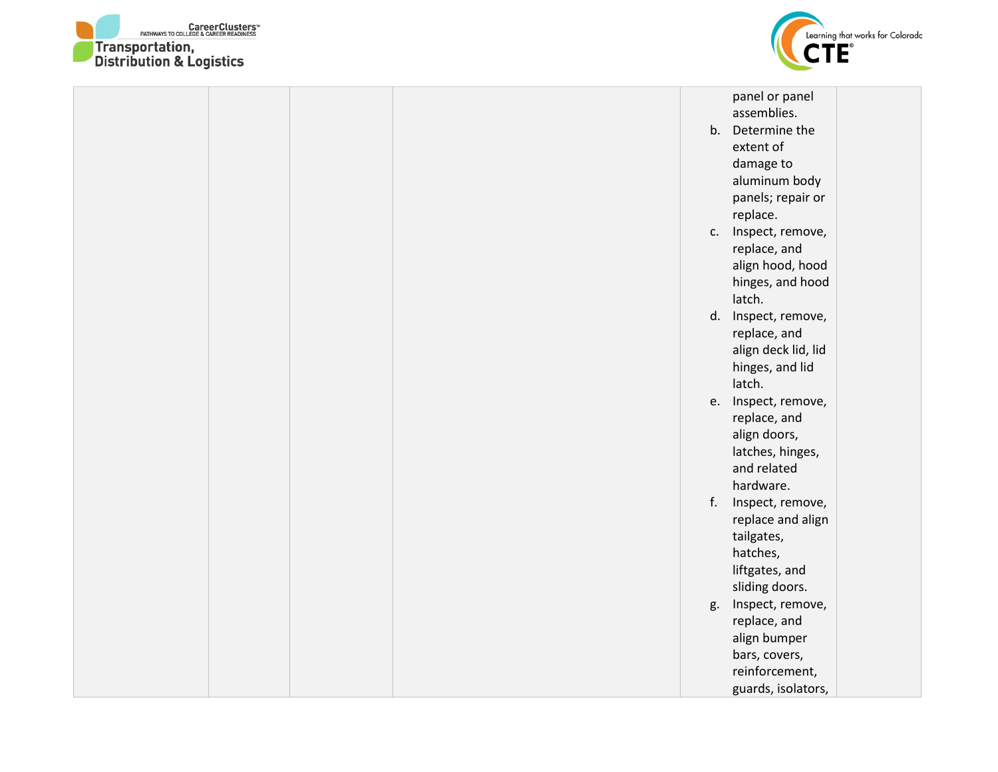



|  |  |    | panel or panel      |  |
|--|--|----|---------------------|--|
|  |  |    | assemblies.         |  |
|  |  |    | b. Determine the    |  |
|  |  |    | extent of           |  |
|  |  |    | damage to           |  |
|  |  |    | aluminum body       |  |
|  |  |    | panels; repair or   |  |
|  |  |    | replace.            |  |
|  |  |    | c. Inspect, remove, |  |
|  |  |    | replace, and        |  |
|  |  |    | align hood, hood    |  |
|  |  |    | hinges, and hood    |  |
|  |  |    | latch.              |  |
|  |  |    | d. Inspect, remove, |  |
|  |  |    | replace, and        |  |
|  |  |    | align deck lid, lid |  |
|  |  |    | hinges, and lid     |  |
|  |  |    | latch.              |  |
|  |  |    | e. Inspect, remove, |  |
|  |  |    | replace, and        |  |
|  |  |    | align doors,        |  |
|  |  |    | latches, hinges,    |  |
|  |  |    | and related         |  |
|  |  |    | hardware.           |  |
|  |  | f. | Inspect, remove,    |  |
|  |  |    | replace and align   |  |
|  |  |    | tailgates,          |  |
|  |  |    | hatches,            |  |
|  |  |    | liftgates, and      |  |
|  |  |    | sliding doors.      |  |
|  |  | g. | Inspect, remove,    |  |
|  |  |    | replace, and        |  |
|  |  |    | align bumper        |  |
|  |  |    | bars, covers,       |  |
|  |  |    | reinforcement,      |  |
|  |  |    | guards, isolators,  |  |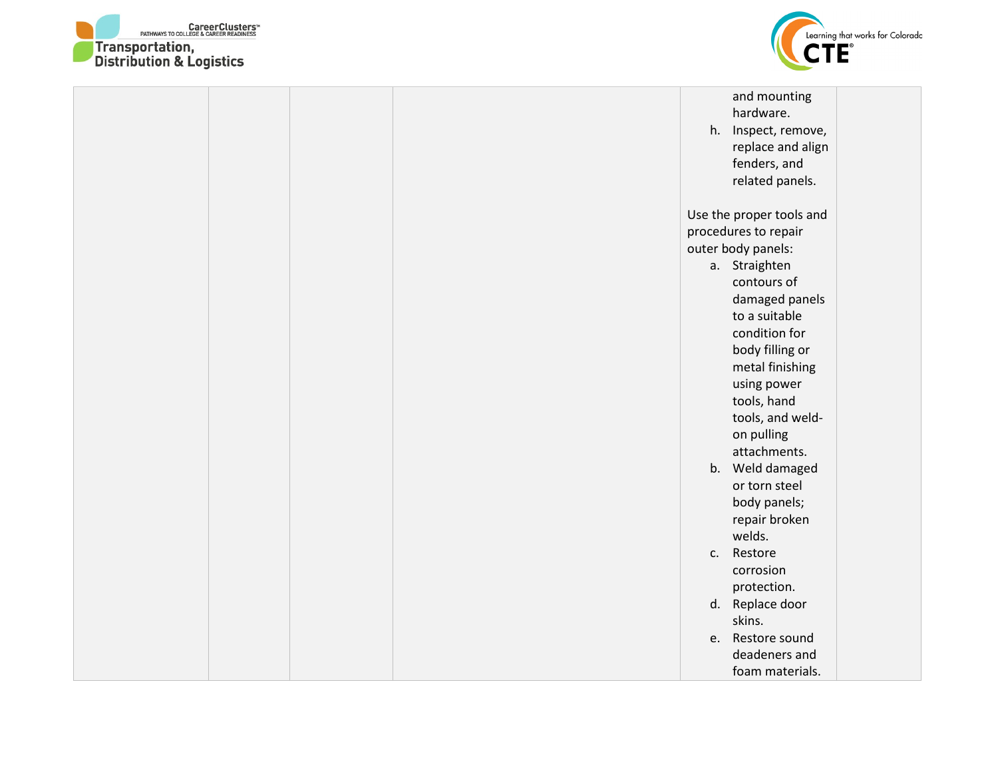



|  |  | and mounting<br>hardware.<br>h. Inspect, remove,<br>replace and align<br>fenders, and<br>related panels.                                                                                                                                                                                                             |  |
|--|--|----------------------------------------------------------------------------------------------------------------------------------------------------------------------------------------------------------------------------------------------------------------------------------------------------------------------|--|
|  |  | Use the proper tools and<br>procedures to repair<br>outer body panels:<br>a. Straighten<br>contours of<br>damaged panels<br>to a suitable<br>condition for<br>body filling or<br>metal finishing<br>using power<br>tools, hand<br>tools, and weld-<br>on pulling<br>attachments.<br>b. Weld damaged<br>or torn steel |  |
|  |  | body panels;<br>repair broken<br>welds.<br>Restore<br>C.<br>corrosion<br>protection.<br>d. Replace door                                                                                                                                                                                                              |  |
|  |  | skins.<br>Restore sound<br>e.<br>deadeners and<br>foam materials.                                                                                                                                                                                                                                                    |  |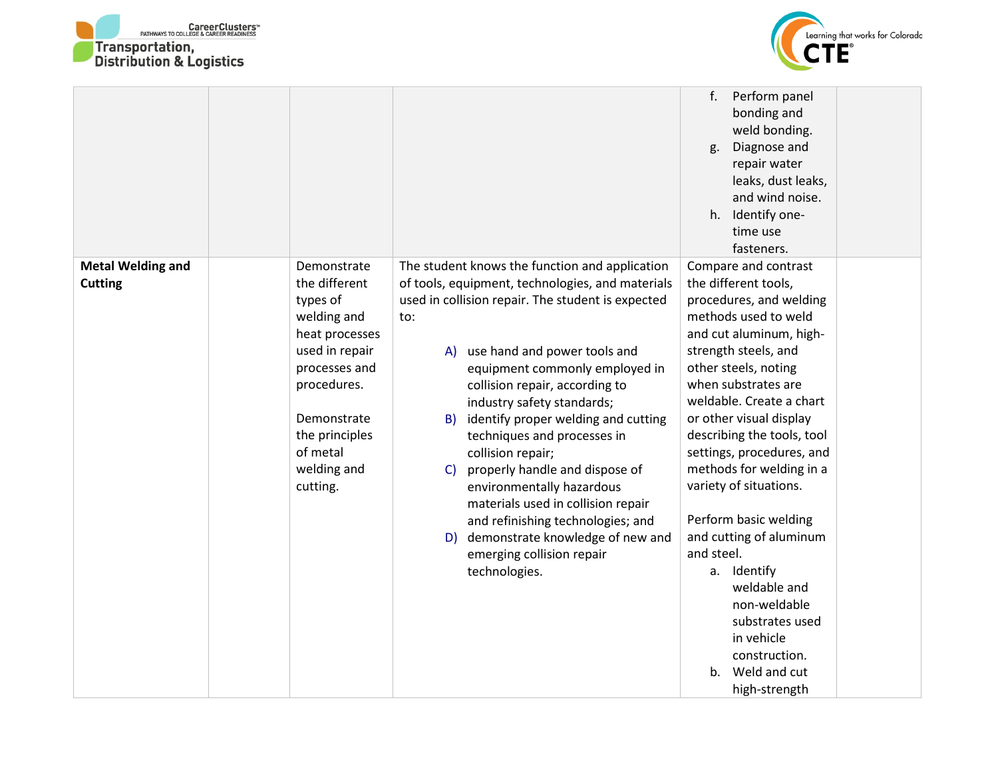



| repair water<br>leaks, dust leaks,<br>and wind noise.<br>h. Identify one-<br>time use<br>fasteners.                                                                                                                                                         |  |
|-------------------------------------------------------------------------------------------------------------------------------------------------------------------------------------------------------------------------------------------------------------|--|
| The student knows the function and application<br>Compare and contrast<br><b>Metal Welding and</b><br>Demonstrate<br>the different<br>of tools, equipment, technologies, and materials<br>the different tools,<br><b>Cutting</b><br>procedures, and welding |  |
| used in collision repair. The student is expected<br>types of<br>methods used to weld<br>welding and<br>to:                                                                                                                                                 |  |
| and cut aluminum, high-<br>heat processes                                                                                                                                                                                                                   |  |
| used in repair<br>strength steels, and<br>A) use hand and power tools and                                                                                                                                                                                   |  |
| processes and<br>other steels, noting<br>equipment commonly employed in                                                                                                                                                                                     |  |
| procedures.<br>when substrates are<br>collision repair, according to                                                                                                                                                                                        |  |
| weldable. Create a chart<br>industry safety standards;<br>Demonstrate<br>or other visual display<br>identify proper welding and cutting<br>B)                                                                                                               |  |
| describing the tools, tool<br>the principles<br>techniques and processes in                                                                                                                                                                                 |  |
| of metal<br>settings, procedures, and<br>collision repair;                                                                                                                                                                                                  |  |
| methods for welding in a<br>welding and<br>properly handle and dispose of<br>$\mathsf{C}$                                                                                                                                                                   |  |
| environmentally hazardous<br>variety of situations.<br>cutting.                                                                                                                                                                                             |  |
| materials used in collision repair                                                                                                                                                                                                                          |  |
| Perform basic welding<br>and refinishing technologies; and<br>and cutting of aluminum<br>demonstrate knowledge of new and                                                                                                                                   |  |
| D)<br>and steel.<br>emerging collision repair                                                                                                                                                                                                               |  |
| a. Identify<br>technologies.                                                                                                                                                                                                                                |  |
| weldable and                                                                                                                                                                                                                                                |  |
| non-weldable                                                                                                                                                                                                                                                |  |
| substrates used                                                                                                                                                                                                                                             |  |
| in vehicle                                                                                                                                                                                                                                                  |  |
| construction.<br>b. Weld and cut                                                                                                                                                                                                                            |  |
| high-strength                                                                                                                                                                                                                                               |  |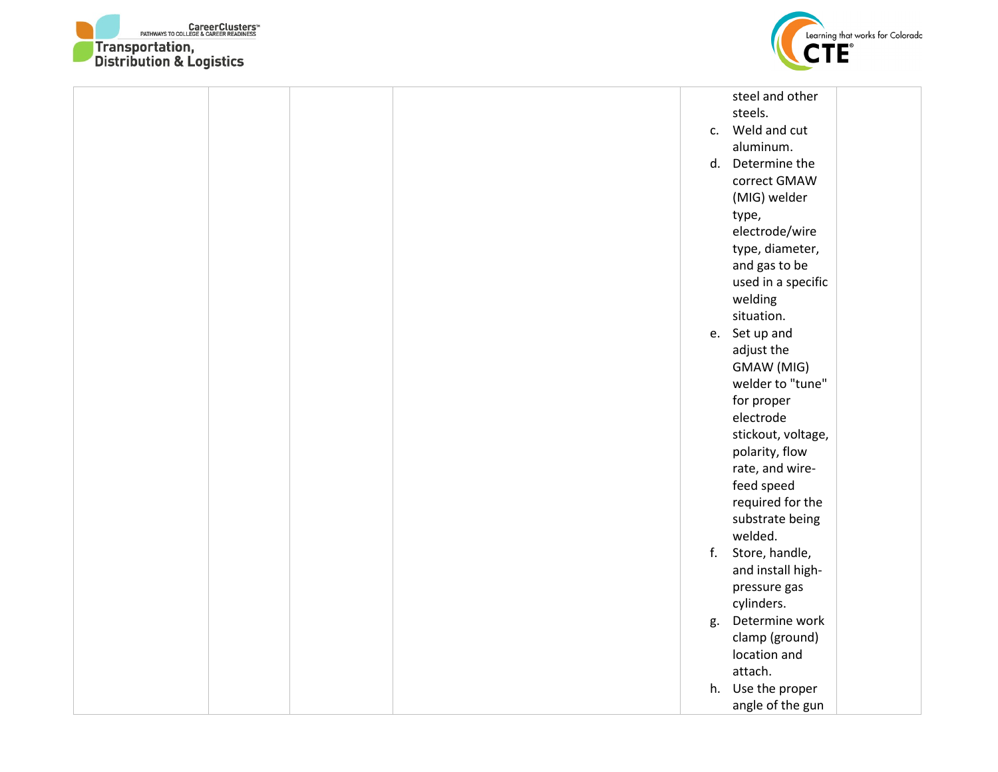



|  |  |    | steel and other    |  |
|--|--|----|--------------------|--|
|  |  |    | steels.            |  |
|  |  |    | c. Weld and cut    |  |
|  |  |    | aluminum.          |  |
|  |  |    | d. Determine the   |  |
|  |  |    | correct GMAW       |  |
|  |  |    | (MIG) welder       |  |
|  |  |    | type,              |  |
|  |  |    | electrode/wire     |  |
|  |  |    | type, diameter,    |  |
|  |  |    | and gas to be      |  |
|  |  |    | used in a specific |  |
|  |  |    | welding            |  |
|  |  |    | situation.         |  |
|  |  |    | e. Set up and      |  |
|  |  |    | adjust the         |  |
|  |  |    | GMAW (MIG)         |  |
|  |  |    | welder to "tune"   |  |
|  |  |    | for proper         |  |
|  |  |    | electrode          |  |
|  |  |    |                    |  |
|  |  |    | stickout, voltage, |  |
|  |  |    | polarity, flow     |  |
|  |  |    | rate, and wire-    |  |
|  |  |    | feed speed         |  |
|  |  |    | required for the   |  |
|  |  |    | substrate being    |  |
|  |  |    | welded.            |  |
|  |  |    | f. Store, handle,  |  |
|  |  |    | and install high-  |  |
|  |  |    | pressure gas       |  |
|  |  |    | cylinders.         |  |
|  |  | g. | Determine work     |  |
|  |  |    | clamp (ground)     |  |
|  |  |    | location and       |  |
|  |  |    | attach.            |  |
|  |  |    | h. Use the proper  |  |
|  |  |    | angle of the gun   |  |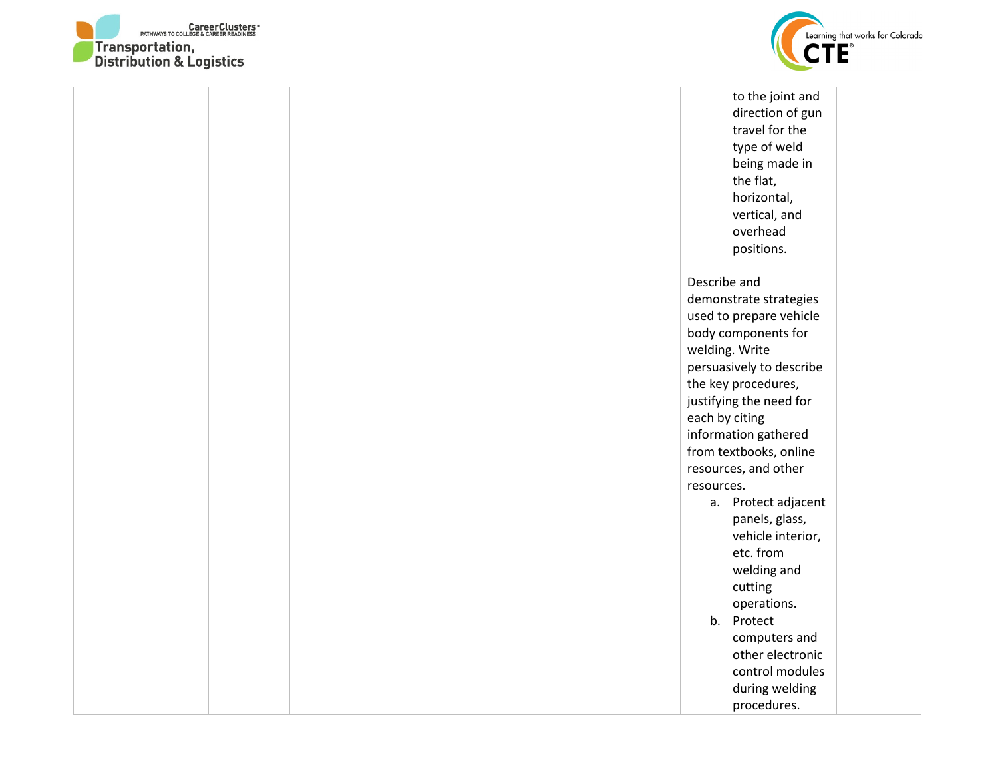



| to the joint and         |  |
|--------------------------|--|
| direction of gun         |  |
| travel for the           |  |
| type of weld             |  |
| being made in            |  |
| the flat,                |  |
|                          |  |
| horizontal,              |  |
| vertical, and            |  |
| overhead                 |  |
| positions.               |  |
| Describe and             |  |
| demonstrate strategies   |  |
| used to prepare vehicle  |  |
| body components for      |  |
| welding. Write           |  |
|                          |  |
| persuasively to describe |  |
| the key procedures,      |  |
| justifying the need for  |  |
| each by citing           |  |
| information gathered     |  |
| from textbooks, online   |  |
| resources, and other     |  |
| resources.               |  |
| Protect adjacent<br>а.   |  |
| panels, glass,           |  |
| vehicle interior,        |  |
| etc. from                |  |
| welding and              |  |
| cutting                  |  |
| operations.              |  |
| $b_{1}$<br>Protect       |  |
| computers and            |  |
| other electronic         |  |
|                          |  |
| control modules          |  |
| during welding           |  |
| procedures.              |  |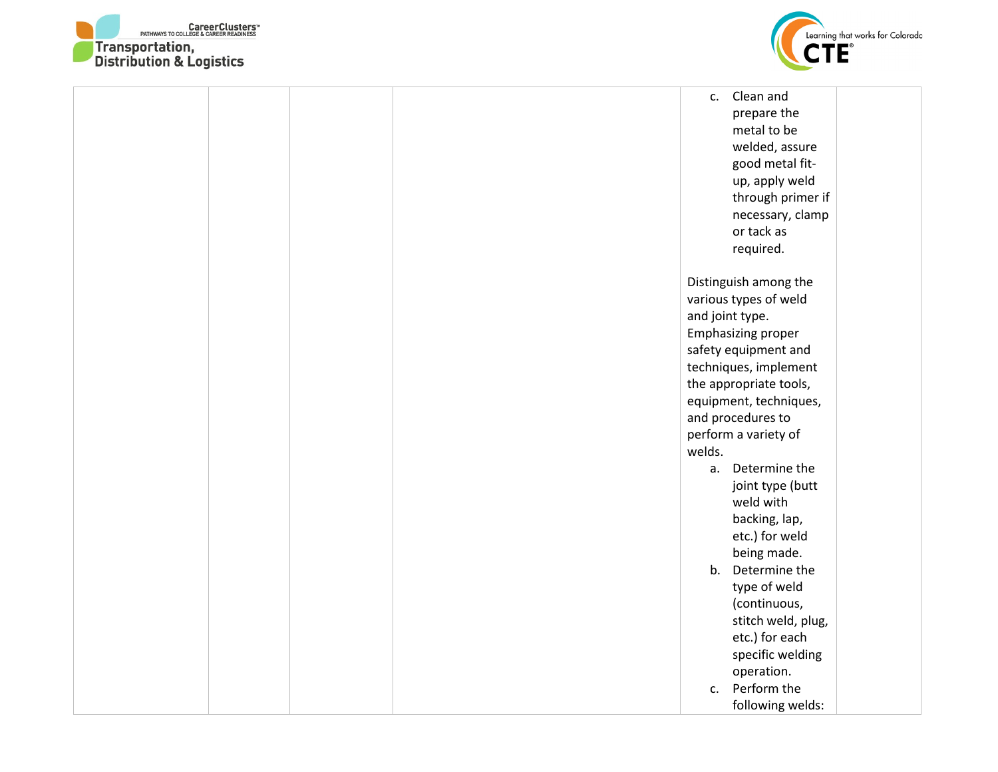



|  | $C_{\star}$    | Clean and                 |  |
|--|----------------|---------------------------|--|
|  |                | prepare the               |  |
|  |                | metal to be               |  |
|  |                | welded, assure            |  |
|  |                | good metal fit-           |  |
|  |                | up, apply weld            |  |
|  |                | through primer if         |  |
|  |                | necessary, clamp          |  |
|  |                | or tack as                |  |
|  |                | required.                 |  |
|  |                |                           |  |
|  |                | Distinguish among the     |  |
|  |                | various types of weld     |  |
|  |                | and joint type.           |  |
|  |                | <b>Emphasizing proper</b> |  |
|  |                | safety equipment and      |  |
|  |                | techniques, implement     |  |
|  |                | the appropriate tools,    |  |
|  |                | equipment, techniques,    |  |
|  |                | and procedures to         |  |
|  |                | perform a variety of      |  |
|  | welds.         |                           |  |
|  | a.             | Determine the             |  |
|  |                | joint type (butt          |  |
|  |                | weld with                 |  |
|  |                | backing, lap,             |  |
|  |                | etc.) for weld            |  |
|  |                | being made.               |  |
|  |                | b. Determine the          |  |
|  |                | type of weld              |  |
|  |                | (continuous,              |  |
|  |                | stitch weld, plug,        |  |
|  |                | etc.) for each            |  |
|  |                | specific welding          |  |
|  |                | operation.                |  |
|  | $\mathsf{C}$ . | Perform the               |  |
|  |                | following welds:          |  |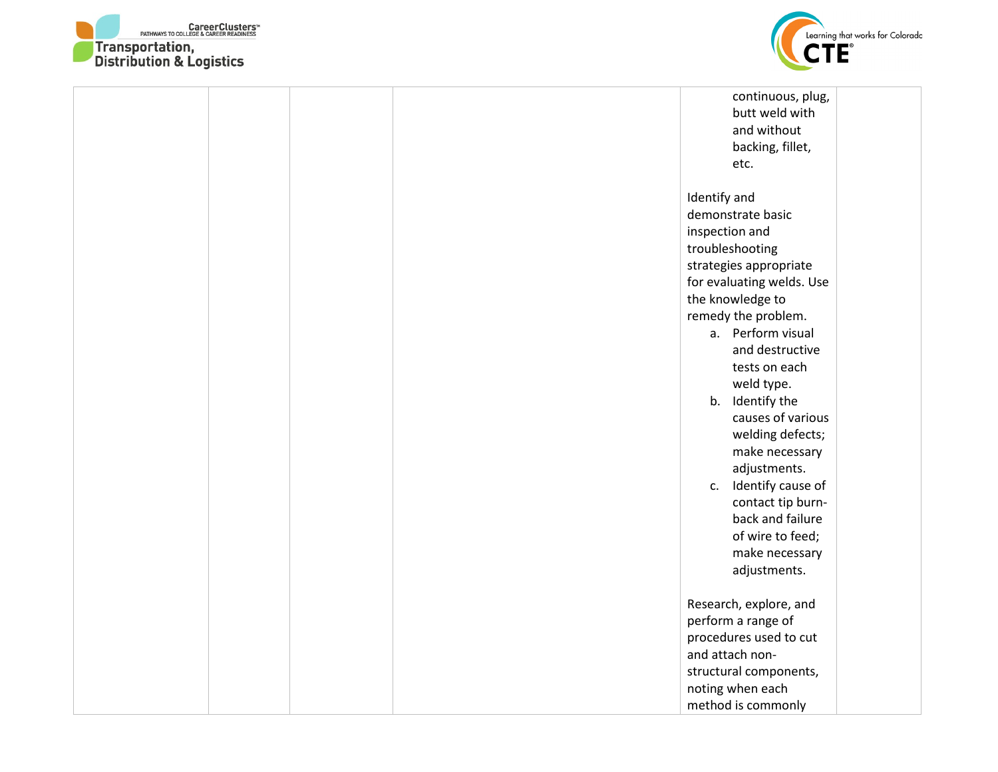



|  |  | continuous, plug,<br>butt weld with<br>and without<br>backing, fillet,<br>etc.                                                                                                                                                                                                                                                                                                                                                                          |
|--|--|---------------------------------------------------------------------------------------------------------------------------------------------------------------------------------------------------------------------------------------------------------------------------------------------------------------------------------------------------------------------------------------------------------------------------------------------------------|
|  |  | Identify and<br>demonstrate basic<br>inspection and<br>troubleshooting<br>strategies appropriate<br>for evaluating welds. Use<br>the knowledge to<br>remedy the problem.<br>a. Perform visual<br>and destructive<br>tests on each<br>weld type.<br>b. Identify the<br>causes of various<br>welding defects;<br>make necessary<br>adjustments.<br>Identify cause of<br>c.<br>contact tip burn-<br>back and failure<br>of wire to feed;<br>make necessary |
|  |  | adjustments.<br>Research, explore, and<br>perform a range of<br>procedures used to cut<br>and attach non-<br>structural components,<br>noting when each<br>method is commonly                                                                                                                                                                                                                                                                           |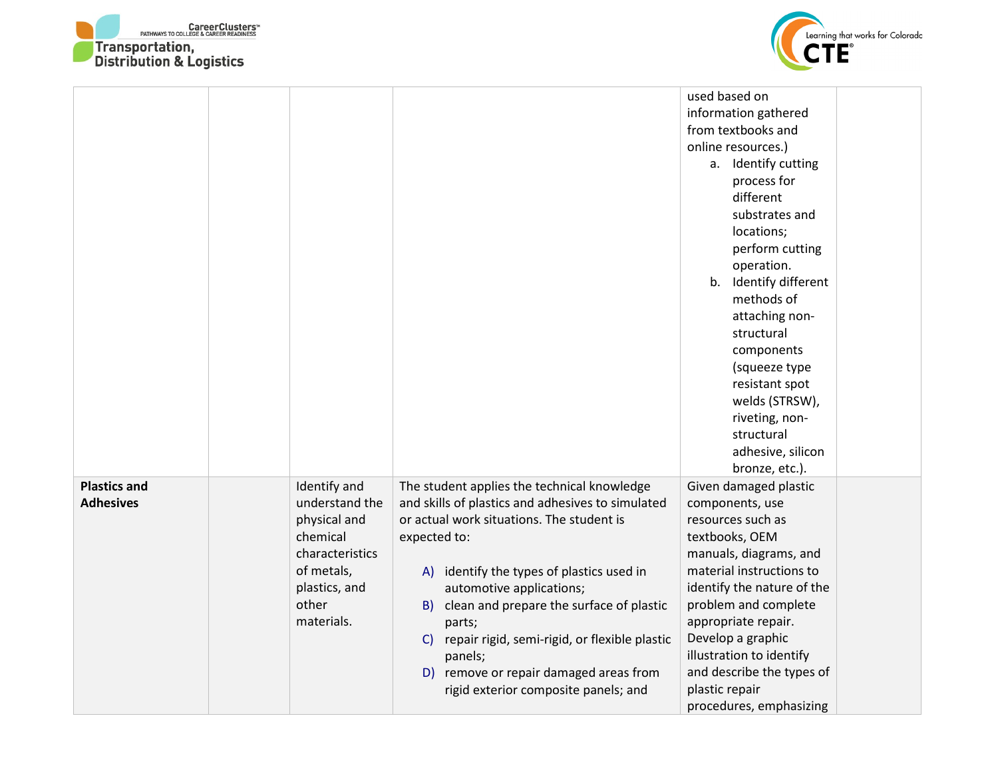



|                                         |                                                                                                                                     |                                                                                                                                                                                                                                                                                                                                                                                                                                                                   | used based on<br>information gathered<br>from textbooks and<br>online resources.)<br>a. Identify cutting<br>process for<br>different<br>substrates and<br>locations;<br>perform cutting<br>operation.<br>b. Identify different<br>methods of                                                                                                  |
|-----------------------------------------|-------------------------------------------------------------------------------------------------------------------------------------|-------------------------------------------------------------------------------------------------------------------------------------------------------------------------------------------------------------------------------------------------------------------------------------------------------------------------------------------------------------------------------------------------------------------------------------------------------------------|-----------------------------------------------------------------------------------------------------------------------------------------------------------------------------------------------------------------------------------------------------------------------------------------------------------------------------------------------|
|                                         |                                                                                                                                     |                                                                                                                                                                                                                                                                                                                                                                                                                                                                   | attaching non-<br>structural<br>components<br>(squeeze type<br>resistant spot<br>welds (STRSW),<br>riveting, non-<br>structural<br>adhesive, silicon<br>bronze, etc.).                                                                                                                                                                        |
| <b>Plastics and</b><br><b>Adhesives</b> | Identify and<br>understand the<br>physical and<br>chemical<br>characteristics<br>of metals,<br>plastics, and<br>other<br>materials. | The student applies the technical knowledge<br>and skills of plastics and adhesives to simulated<br>or actual work situations. The student is<br>expected to:<br>A) identify the types of plastics used in<br>automotive applications;<br>clean and prepare the surface of plastic<br>B).<br>parts;<br>repair rigid, semi-rigid, or flexible plastic<br>$\mathsf{C}$<br>panels;<br>D) remove or repair damaged areas from<br>rigid exterior composite panels; and | Given damaged plastic<br>components, use<br>resources such as<br>textbooks, OEM<br>manuals, diagrams, and<br>material instructions to<br>identify the nature of the<br>problem and complete<br>appropriate repair.<br>Develop a graphic<br>illustration to identify<br>and describe the types of<br>plastic repair<br>procedures, emphasizing |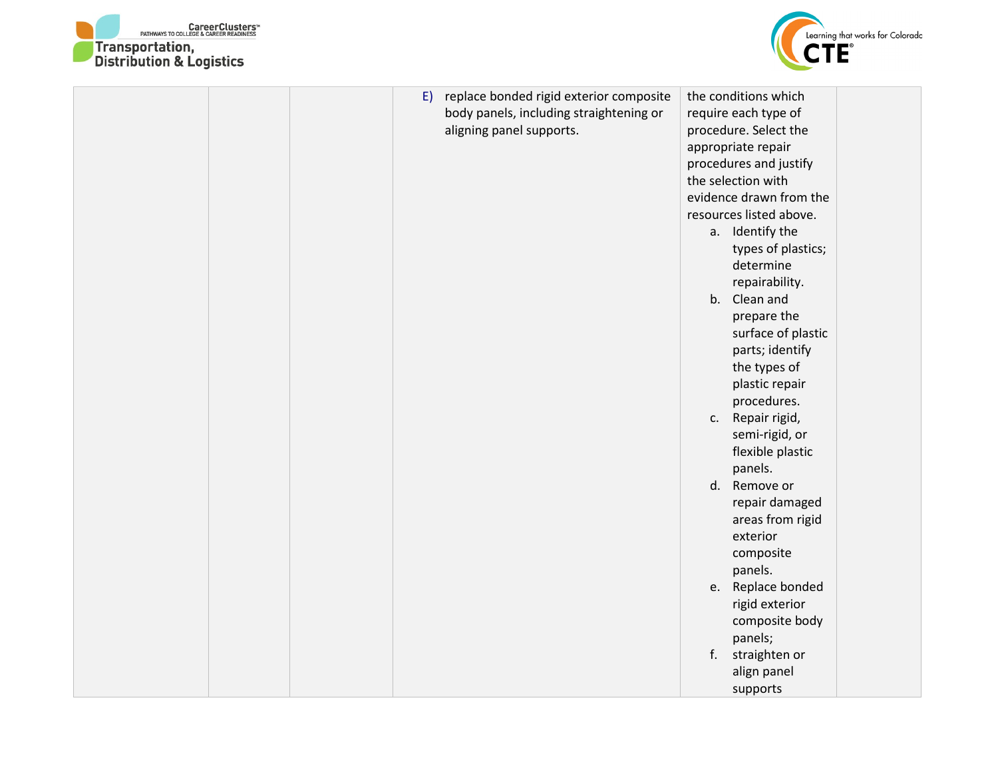



|  |  | E) replace bonded rigid exterior composite<br>body panels, including straightening or<br>aligning panel supports. |  | the conditions which<br>require each type of<br>procedure. Select the<br>appropriate repair<br>procedures and justify<br>the selection with |  |
|--|--|-------------------------------------------------------------------------------------------------------------------|--|---------------------------------------------------------------------------------------------------------------------------------------------|--|
|  |  |                                                                                                                   |  | evidence drawn from the                                                                                                                     |  |
|  |  |                                                                                                                   |  | resources listed above.                                                                                                                     |  |
|  |  |                                                                                                                   |  | a. Identify the                                                                                                                             |  |
|  |  |                                                                                                                   |  | types of plastics;                                                                                                                          |  |
|  |  |                                                                                                                   |  | determine                                                                                                                                   |  |
|  |  |                                                                                                                   |  | repairability.                                                                                                                              |  |
|  |  |                                                                                                                   |  | b. Clean and                                                                                                                                |  |
|  |  |                                                                                                                   |  | prepare the                                                                                                                                 |  |
|  |  |                                                                                                                   |  | surface of plastic                                                                                                                          |  |
|  |  |                                                                                                                   |  | parts; identify                                                                                                                             |  |
|  |  |                                                                                                                   |  | the types of                                                                                                                                |  |
|  |  |                                                                                                                   |  | plastic repair                                                                                                                              |  |
|  |  |                                                                                                                   |  | procedures.                                                                                                                                 |  |
|  |  |                                                                                                                   |  | c. Repair rigid,                                                                                                                            |  |
|  |  |                                                                                                                   |  | semi-rigid, or                                                                                                                              |  |
|  |  |                                                                                                                   |  | flexible plastic                                                                                                                            |  |
|  |  |                                                                                                                   |  | panels.                                                                                                                                     |  |
|  |  |                                                                                                                   |  | d. Remove or                                                                                                                                |  |
|  |  |                                                                                                                   |  | repair damaged                                                                                                                              |  |
|  |  |                                                                                                                   |  | areas from rigid                                                                                                                            |  |
|  |  |                                                                                                                   |  | exterior                                                                                                                                    |  |
|  |  |                                                                                                                   |  | composite                                                                                                                                   |  |
|  |  |                                                                                                                   |  | panels.                                                                                                                                     |  |
|  |  |                                                                                                                   |  | e. Replace bonded<br>rigid exterior                                                                                                         |  |
|  |  |                                                                                                                   |  | composite body                                                                                                                              |  |
|  |  |                                                                                                                   |  | panels;                                                                                                                                     |  |
|  |  |                                                                                                                   |  | f. straighten or                                                                                                                            |  |
|  |  |                                                                                                                   |  | align panel                                                                                                                                 |  |
|  |  |                                                                                                                   |  | supports                                                                                                                                    |  |
|  |  |                                                                                                                   |  |                                                                                                                                             |  |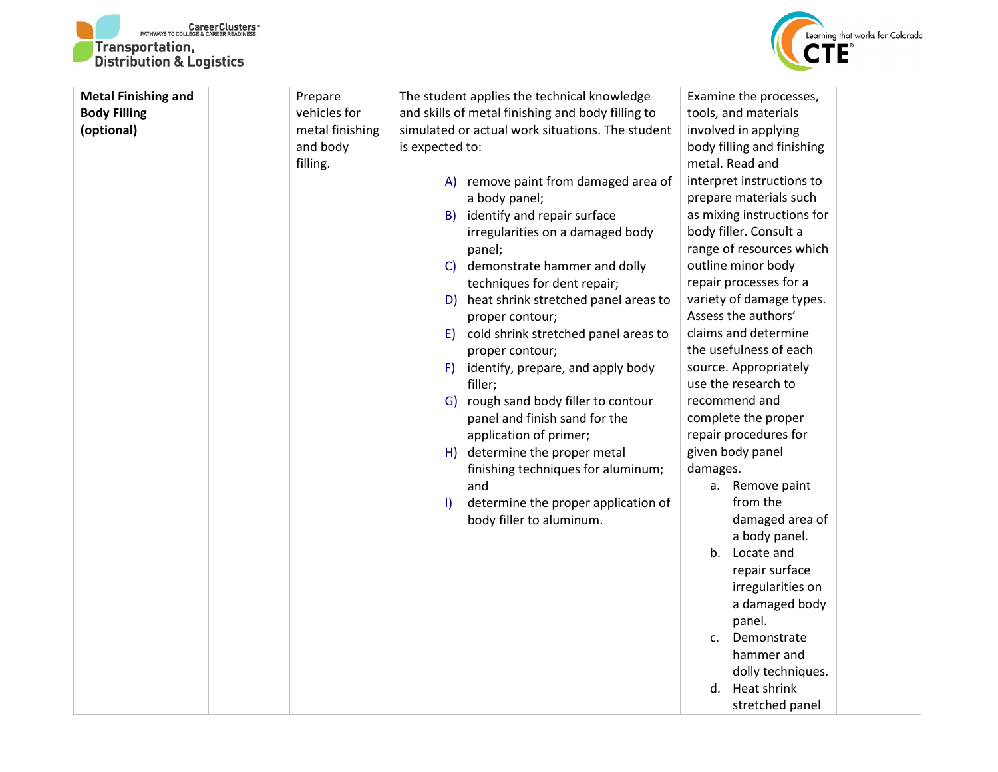



| <b>Metal Finishing and</b> | Prepare         | The student applies the technical knowledge                                | Examine the processes,      |
|----------------------------|-----------------|----------------------------------------------------------------------------|-----------------------------|
| <b>Body Filling</b>        | vehicles for    | and skills of metal finishing and body filling to                          | tools, and materials        |
| (optional)                 | metal finishing | simulated or actual work situations. The student                           | involved in applying        |
|                            | and body        | is expected to:                                                            | body filling and finishing  |
|                            | filling.        |                                                                            | metal. Read and             |
|                            |                 | A) remove paint from damaged area of                                       | interpret instructions to   |
|                            |                 | a body panel;                                                              | prepare materials such      |
|                            |                 | B) identify and repair surface                                             | as mixing instructions for  |
|                            |                 | irregularities on a damaged body                                           | body filler. Consult a      |
|                            |                 | panel;                                                                     | range of resources which    |
|                            |                 | demonstrate hammer and dolly<br>$\mathsf{C}$                               | outline minor body          |
|                            |                 | techniques for dent repair;                                                | repair processes for a      |
|                            |                 | D) heat shrink stretched panel areas to                                    | variety of damage types.    |
|                            |                 | proper contour;                                                            | Assess the authors'         |
|                            |                 | cold shrink stretched panel areas to<br>E)                                 | claims and determine        |
|                            |                 | proper contour;                                                            | the usefulness of each      |
|                            |                 | identify, prepare, and apply body<br>F)                                    | source. Appropriately       |
|                            |                 | filler;                                                                    | use the research to         |
|                            |                 | G) rough sand body filler to contour                                       | recommend and               |
|                            |                 | panel and finish sand for the                                              | complete the proper         |
|                            |                 | application of primer;                                                     | repair procedures for       |
|                            |                 | H) determine the proper metal                                              | given body panel            |
|                            |                 | finishing techniques for aluminum;                                         | damages.<br>a. Remove paint |
|                            |                 | and                                                                        | from the                    |
|                            |                 | determine the proper application of<br>$\vert$<br>body filler to aluminum. | damaged area of             |
|                            |                 |                                                                            | a body panel.               |
|                            |                 |                                                                            | Locate and<br>b.            |
|                            |                 |                                                                            | repair surface              |
|                            |                 |                                                                            | irregularities on           |
|                            |                 |                                                                            | a damaged body              |
|                            |                 |                                                                            | panel.                      |
|                            |                 |                                                                            | Demonstrate<br>$C_{\star}$  |
|                            |                 |                                                                            | hammer and                  |
|                            |                 |                                                                            | dolly techniques.           |
|                            |                 |                                                                            | d. Heat shrink              |
|                            |                 |                                                                            | stretched panel             |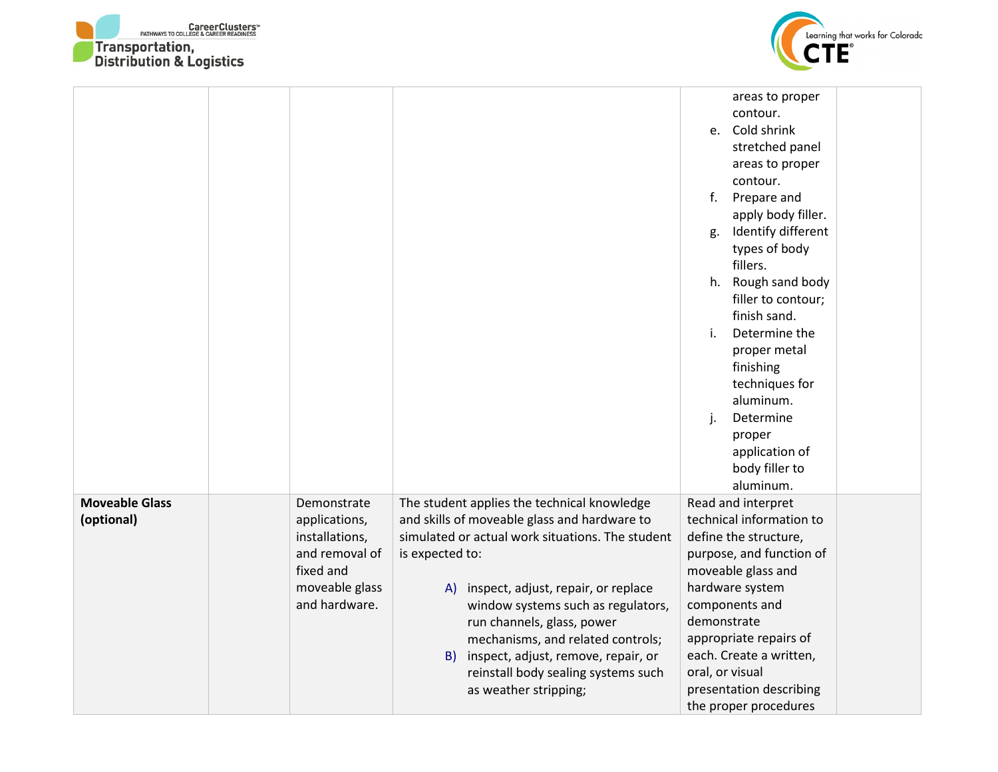



|                                     |                                                                                                                  |                                                                                                                                                                                                                                                                                                                                                                                                                                       | areas to proper<br>contour.<br>e. Cold shrink<br>stretched panel<br>areas to proper<br>contour.<br>Prepare and<br>f.<br>apply body filler.<br>Identify different<br>g.<br>types of body<br>fillers.<br>h. Rough sand body<br>filler to contour;<br>finish sand.<br>Determine the<br>i.<br>proper metal<br>finishing<br>techniques for<br>aluminum.<br>Determine<br>j.<br>proper<br>application of<br>body filler to<br>aluminum. |  |
|-------------------------------------|------------------------------------------------------------------------------------------------------------------|---------------------------------------------------------------------------------------------------------------------------------------------------------------------------------------------------------------------------------------------------------------------------------------------------------------------------------------------------------------------------------------------------------------------------------------|----------------------------------------------------------------------------------------------------------------------------------------------------------------------------------------------------------------------------------------------------------------------------------------------------------------------------------------------------------------------------------------------------------------------------------|--|
| <b>Moveable Glass</b><br>(optional) | Demonstrate<br>applications,<br>installations,<br>and removal of<br>fixed and<br>moveable glass<br>and hardware. | The student applies the technical knowledge<br>and skills of moveable glass and hardware to<br>simulated or actual work situations. The student<br>is expected to:<br>inspect, adjust, repair, or replace<br>A)<br>window systems such as regulators,<br>run channels, glass, power<br>mechanisms, and related controls;<br>inspect, adjust, remove, repair, or<br>B)<br>reinstall body sealing systems such<br>as weather stripping; | Read and interpret<br>technical information to<br>define the structure,<br>purpose, and function of<br>moveable glass and<br>hardware system<br>components and<br>demonstrate<br>appropriate repairs of<br>each. Create a written,<br>oral, or visual<br>presentation describing<br>the proper procedures                                                                                                                        |  |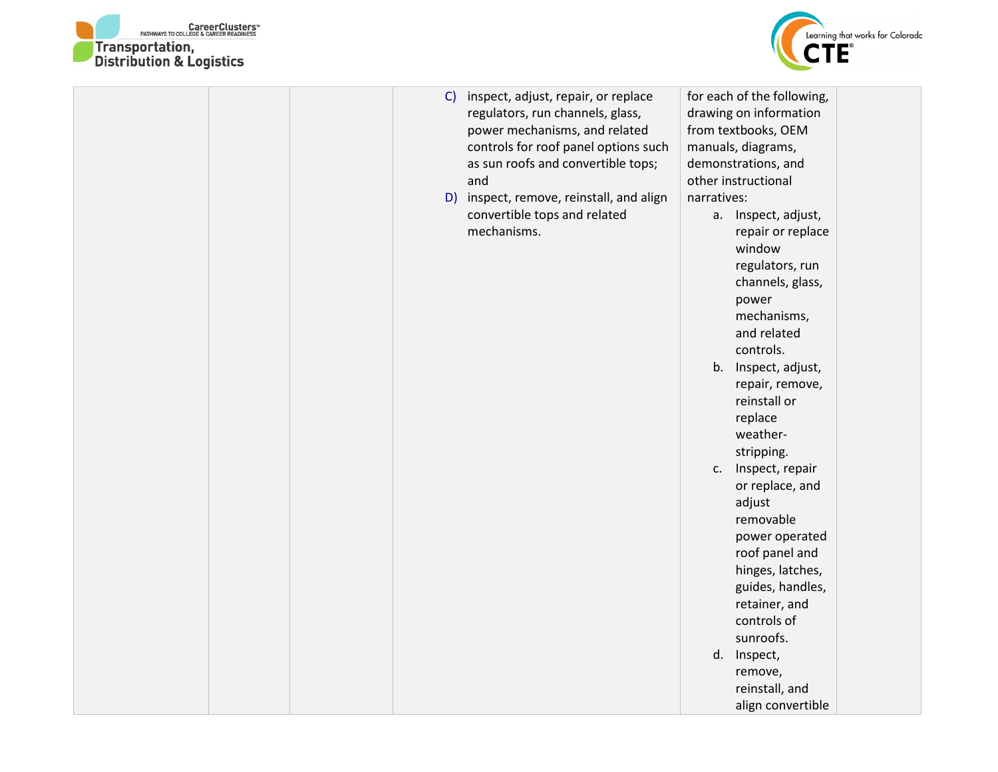



|  | C | inspect, adjust, repair, or replace<br>regulators, run channels, glass,<br>power mechanisms, and related<br>controls for roof panel options such<br>as sun roofs and convertible tops;<br>and<br>D) inspect, remove, reinstall, and align<br>convertible tops and related<br>mechanisms. | narratives: | for each of the following,<br>drawing on information<br>from textbooks, OEM<br>manuals, diagrams,<br>demonstrations, and<br>other instructional<br>a. Inspect, adjust,<br>repair or replace<br>window<br>regulators, run<br>channels, glass,<br>power<br>mechanisms,<br>and related<br>controls.<br>b. Inspect, adjust,<br>repair, remove,<br>reinstall or<br>replace<br>weather-<br>stripping.<br>c. Inspect, repair<br>or replace, and<br>adjust<br>removable<br>power operated<br>roof panel and<br>hinges, latches,<br>guides, handles,<br>retainer, and<br>controls of |  |
|--|---|------------------------------------------------------------------------------------------------------------------------------------------------------------------------------------------------------------------------------------------------------------------------------------------|-------------|-----------------------------------------------------------------------------------------------------------------------------------------------------------------------------------------------------------------------------------------------------------------------------------------------------------------------------------------------------------------------------------------------------------------------------------------------------------------------------------------------------------------------------------------------------------------------------|--|
|  |   |                                                                                                                                                                                                                                                                                          |             |                                                                                                                                                                                                                                                                                                                                                                                                                                                                                                                                                                             |  |
|  |   |                                                                                                                                                                                                                                                                                          |             | sunroofs.                                                                                                                                                                                                                                                                                                                                                                                                                                                                                                                                                                   |  |
|  |   |                                                                                                                                                                                                                                                                                          |             | d. Inspect,                                                                                                                                                                                                                                                                                                                                                                                                                                                                                                                                                                 |  |
|  |   |                                                                                                                                                                                                                                                                                          |             | remove,                                                                                                                                                                                                                                                                                                                                                                                                                                                                                                                                                                     |  |
|  |   |                                                                                                                                                                                                                                                                                          |             | reinstall, and                                                                                                                                                                                                                                                                                                                                                                                                                                                                                                                                                              |  |
|  |   |                                                                                                                                                                                                                                                                                          |             | align convertible                                                                                                                                                                                                                                                                                                                                                                                                                                                                                                                                                           |  |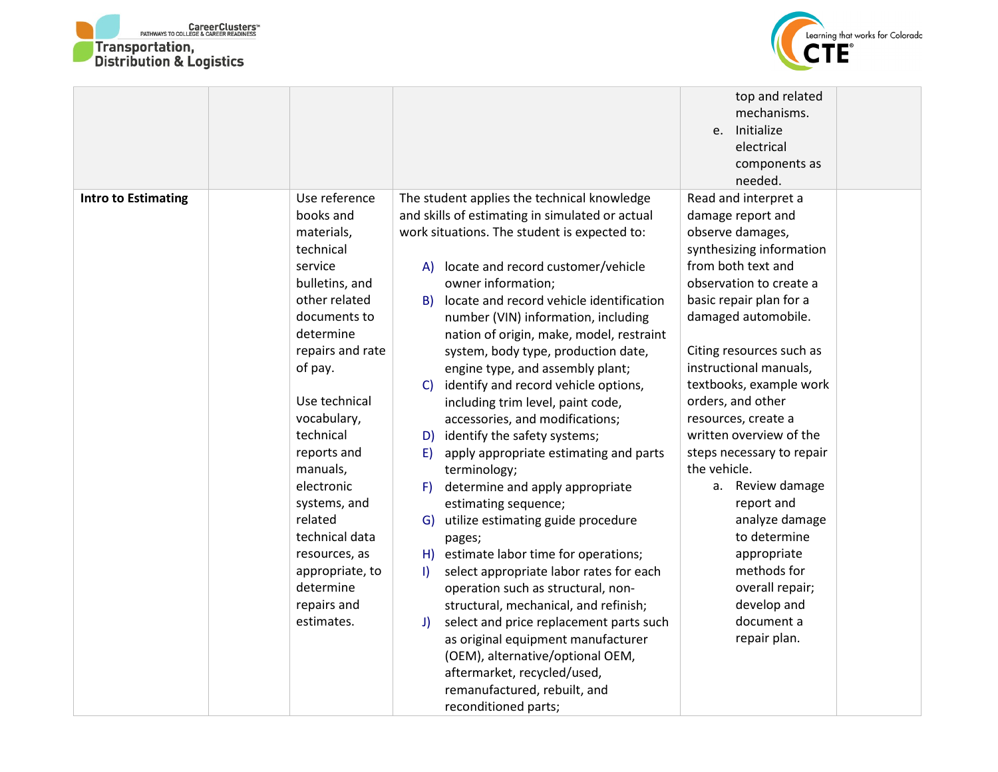



| top and related                                                                                                    |  |
|--------------------------------------------------------------------------------------------------------------------|--|
| mechanisms.                                                                                                        |  |
| Initialize<br>e.                                                                                                   |  |
| electrical                                                                                                         |  |
| components as                                                                                                      |  |
| needed.                                                                                                            |  |
| Use reference<br>Read and interpret a<br><b>Intro to Estimating</b><br>The student applies the technical knowledge |  |
| and skills of estimating in simulated or actual<br>books and<br>damage report and                                  |  |
| work situations. The student is expected to:<br>observe damages,<br>materials,                                     |  |
| synthesizing information<br>technical                                                                              |  |
| from both text and<br>service<br>locate and record customer/vehicle<br>A)                                          |  |
| observation to create a<br>bulletins, and<br>owner information;                                                    |  |
| other related<br>basic repair plan for a<br>locate and record vehicle identification<br>B)                         |  |
| documents to<br>damaged automobile.<br>number (VIN) information, including                                         |  |
| determine<br>nation of origin, make, model, restraint                                                              |  |
| repairs and rate<br>Citing resources such as<br>system, body type, production date,                                |  |
| instructional manuals,<br>of pay.<br>engine type, and assembly plant;                                              |  |
| textbooks, example work<br>identify and record vehicle options,<br>C)                                              |  |
| orders, and other<br>Use technical<br>including trim level, paint code,                                            |  |
| vocabulary,<br>accessories, and modifications;<br>resources, create a                                              |  |
| technical<br>written overview of the                                                                               |  |
| identify the safety systems;<br>D)                                                                                 |  |
| reports and<br>steps necessary to repair<br>apply appropriate estimating and parts<br>E)<br>the vehicle.           |  |
| manuals,<br>terminology;                                                                                           |  |
| electronic<br>determine and apply appropriate<br>Review damage<br>F)<br>а.                                         |  |
| systems, and<br>estimating sequence;<br>report and                                                                 |  |
| related<br>analyze damage<br>utilize estimating guide procedure<br>G)                                              |  |
| technical data<br>to determine<br>pages;                                                                           |  |
| estimate labor time for operations;<br>appropriate<br>resources, as<br>H)                                          |  |
| methods for<br>appropriate, to<br>select appropriate labor rates for each<br>$\mathbf{I}$                          |  |
| determine<br>overall repair;<br>operation such as structural, non-                                                 |  |
| develop and<br>repairs and<br>structural, mechanical, and refinish;                                                |  |
| document a<br>estimates.<br>select and price replacement parts such<br>J)                                          |  |
| repair plan.<br>as original equipment manufacturer                                                                 |  |
| (OEM), alternative/optional OEM,                                                                                   |  |
| aftermarket, recycled/used,                                                                                        |  |
| remanufactured, rebuilt, and                                                                                       |  |
| reconditioned parts;                                                                                               |  |